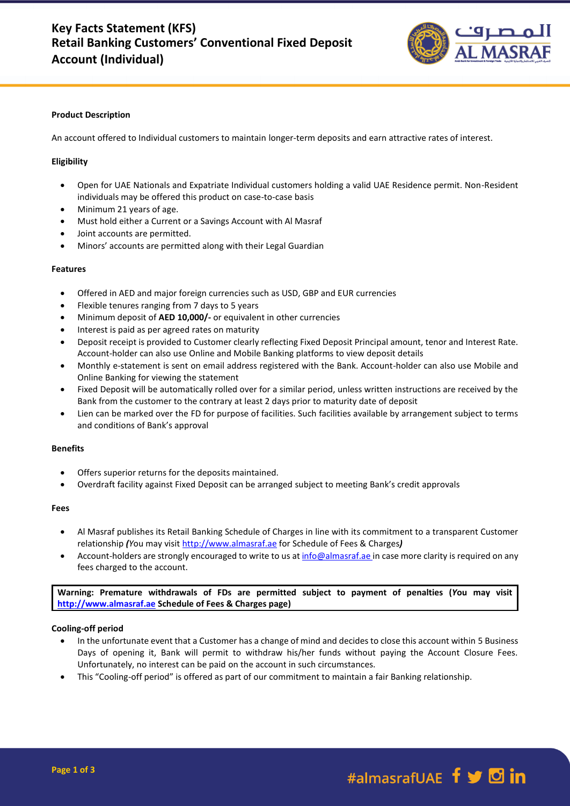

## **Product Description**

An account offered to Individual customers to maintain longer-term deposits and earn attractive rates of interest.

# **Eligibility**

- Open for UAE Nationals and Expatriate Individual customers holding a valid UAE Residence permit. Non-Resident individuals may be offered this product on case-to-case basis
- Minimum 21 years of age.
- Must hold either a Current or a Savings Account with Al Masraf
- Joint accounts are permitted.
- Minors' accounts are permitted along with their Legal Guardian

#### **Features**

- Offered in AED and major foreign currencies such as USD, GBP and EUR currencies
- Flexible tenures ranging from 7 days to 5 years
- Minimum deposit of **AED 10,000/-** or equivalent in other currencies
- Interest is paid as per agreed rates on maturity
- Deposit receipt is provided to Customer clearly reflecting Fixed Deposit Principal amount, tenor and Interest Rate. Account-holder can also use Online and Mobile Banking platforms to view deposit details
- Monthly e-statement is sent on email address registered with the Bank. Account-holder can also use Mobile and Online Banking for viewing the statement
- Fixed Deposit will be automatically rolled over for a similar period, unless written instructions are received by the Bank from the customer to the contrary at least 2 days prior to maturity date of deposit
- Lien can be marked over the FD for purpose of facilities. Such facilities available by arrangement subject to terms and conditions of Bank's approval

## **Benefits**

- Offers superior returns for the deposits maintained.
- Overdraft facility against Fixed Deposit can be arranged subject to meeting Bank's credit approvals

#### **Fees**

- Al Masraf publishes its Retail Banking Schedule of Charges in line with its commitment to a transparent Customer relationship *(Y*ou may visi[t http://www.almasraf.ae](http://www.almasraf.ae/) for Schedule of Fees & Charges*)*
- Account-holders are strongly encouraged to write to us at [info@almasraf.ae](mailto:Query@almasraf.ae) in case more clarity is required on any fees charged to the account.

**Warning: Premature withdrawals of FDs are permitted subject to payment of penalties (***Y***ou may visit [http://www.almasraf.ae](http://www.almasraf.ae/) Schedule of Fees & Charges page)**

## **Cooling-off period**

- In the unfortunate event that a Customer has a change of mind and decides to close this account within 5 Business Days of opening it, Bank will permit to withdraw his/her funds without paying the Account Closure Fees. Unfortunately, no interest can be paid on the account in such circumstances.
- This "Cooling-off period" is offered as part of our commitment to maintain a fair Banking relationship.

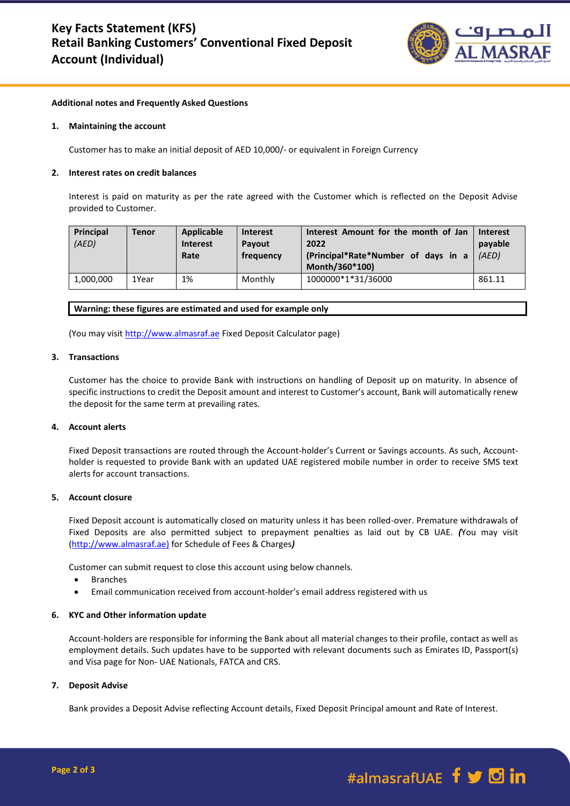

# **Additional notes and Frequently Asked Questions**

### **1. Maintaining the account**

Customer has to make an initial deposit of AED 10,000/- or equivalent in Foreign Currency

### **2. Interest rates on credit balances**

Interest is paid on maturity as per the rate agreed with the Customer which is reflected on the Deposit Advise provided to Customer.

| Principal<br>(AED) | Tenor | Applicable<br><b>Interest</b><br>Rate | <b>Interest</b><br>Pavout<br>frequency | Interest Amount for the month of Jan<br>2022<br>(Principal*Rate*Number of days in a<br>Month/360*100) | <b>Interest</b><br>payable<br>(AED) |
|--------------------|-------|---------------------------------------|----------------------------------------|-------------------------------------------------------------------------------------------------------|-------------------------------------|
| 1,000,000          | 1Year | 1%                                    | Monthly                                | 1000000*1*31/36000                                                                                    | 861.11                              |

### **Warning: these figures are estimated and used for example only**

(You may visit [http://www.almasraf.ae](http://www.almasraf.ae/) Fixed Deposit Calculator page)

### **3. Transactions**

Customer has the choice to provide Bank with instructions on handling of Deposit up on maturity. In absence of specific instructions to credit the Deposit amount and interest to Customer's account, Bank will automatically renew the deposit for the same term at prevailing rates.

## **4. Account alerts**

Fixed Deposit transactions are routed through the Account-holder's Current or Savings accounts. As such, Accountholder is requested to provide Bank with an updated UAE registered mobile number in order to receive SMS text alerts for account transactions.

# **5. Account closure**

Fixed Deposit account is automatically closed on maturity unless it has been rolled-over. Premature withdrawals of Fixed Deposits are also permitted subject to prepayment penalties as laid out by CB UAE. *(*You may visit [\(http://www.almasraf.ae\)](http://www.almasraf.ae/) for Schedule of Fees & Charges*)*

Customer can submit request to close this account using below channels.

- Branches
- Email communication received from account-holder's email address registered with us

## **6. KYC and Other information update**

Account-holders are responsible for informing the Bank about all material changes to their profile, contact as well as employment details. Such updates have to be supported with relevant documents such as Emirates ID, Passport(s) and Visa page for Non- UAE Nationals, FATCA and CRS.

#### **7. Deposit Advise**

Bank provides a Deposit Advise reflecting Account details, Fixed Deposit Principal amount and Rate of Interest.